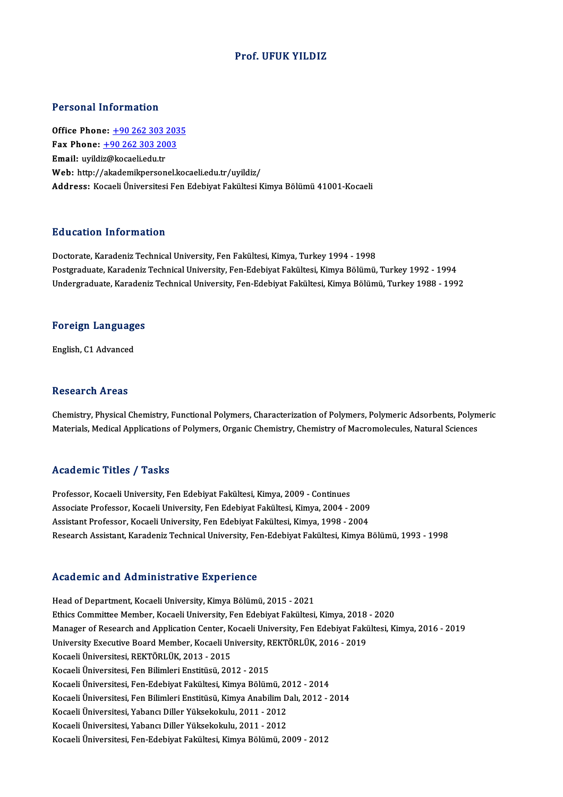#### Prof. UFUK YILDIZ

#### Personal Information

**Personal Information<br>Office Phone: +90 262 303 2035<br>Fax Phone: +90 262 202 2002** Fax Phone: <u>+90 262 303 203</u><br>Fax Phone: <u>+90 262 303 2003</u><br>Fmail: wrildig@lagaali.cdu.tr Office Phone: <u>+90 262 303 :</u><br>Fax Phone: <u>+90 262 303 20</u><br>Email: uyildi[z@kocaeli.edu.tr](tel:+90 262 303 2003)<br>Web: http://alrademilmersen Fax Phone: <u>+90 262 303 2003</u><br>Email: uyildiz@kocaeli.edu.tr<br>Web: http://akademikpersonel.kocaeli.edu.tr/uyildiz/ Address: Kocaeli Üniversitesi Fen Edebiyat Fakültesi Kimya Bölümü 41001-Kocaeli

#### Education Information

Doctorate, Karadeniz Technical University, Fen Fakültesi, Kimya, Turkey 1994 - 1998 Pu u cucron "Informucron"<br>Doctorate, Karadeniz Technical University, Fen Fakültesi, Kimya, Turkey 1994 - 1998<br>Postgraduate, Karadeniz Technical University, Fen-Edebiyat Fakültesi, Kimya Bölümü, Turkey 1992 - 1994<br>Undergrad Doctorate, Karadeniz Technical University, Fen Fakültesi, Kimya, Turkey 1994 - 1998<br>Postgraduate, Karadeniz Technical University, Fen-Edebiyat Fakültesi, Kimya Bölümü, Turkey 1992 - 1994<br>Undergraduate, Karadeniz Technical

## <sub>Undergraduate, Karaden<br>Foreign Languages</sub> F<mark>oreign Languag</mark>e<br>English, C1 Advanced

English, C1 Advanced<br>Research Areas

Chemistry, Physical Chemistry, Functional Polymers, Characterization of Polymers, Polymeric Adsorbents, Polymeric Materials, Medical Applications of Polymers, Organic Chemistry, Chemistry of Macromolecules, Natural Sciences

#### Academic Titles / Tasks

Professor, Kocaeli University, Fen Edebiyat Fakültesi, Kimya, 2009 - Continues Associate Professor, Kocaeli University, Fen Edebiyat Fakültesi, Kimya, 2004 - 2009 Assistant Professor, Kocaeli University, Fen Edebiyat Fakültesi, Kimya, 1998 - 2004 Research Assistant, Karadeniz Technical University, Fen-Edebiyat Fakültesi, Kimya Bölümü, 1993 - 1998

#### Academic and Administrative Experience

Head of Department, Kocaeli University, Kimya Bölümü, 2015 - 2021 Ethics Committee Members (1989)<br>Head of Department, Kocaeli University, Kimya Bölümü, 2015 - 2021<br>Ethics Committee Member, Kocaeli University, Fen Edebiyat Fakültesi, Kimya, 2018 - 2020<br>Manager of Besearch and Annligation Head of Department, Kocaeli University, Kimya Bölümü, 2015 - 2021<br>Ethics Committee Member, Kocaeli University, Fen Edebiyat Fakültesi, Kimya, 2018 - 2020<br>Manager of Research and Application Center, Kocaeli University, Fen Ethics Committee Member, Kocaeli University, Fen Edebiyat Fakültesi, Kimya, 2018<br>Manager of Research and Application Center, Kocaeli University, Fen Edebiyat Fakü<br>University Executive Board Member, Kocaeli University, REKT Manager of Research and Application Center, K<br>University Executive Board Member, Kocaeli Un<br>Kocaeli Üniversitesi, REKTÖRLÜK, 2013 - 2015<br>Kosaeli Üniversitesi, Een Bilimleri Enstitüsü, 201 University Executive Board Member, Kocaeli University, REKTÖRLÜK, 2016 - 2019<br>Kocaeli Üniversitesi, REKTÖRLÜK, 2013 - 2015<br>Kocaeli Üniversitesi, Fen Bilimleri Enstitüsü, 2012 - 2015 Kocaeli Üniversitesi, Fen-Edebiyat Fakültesi, Kimya Bölümü, 2012 - 2014 Kocaeli Üniversitesi, Fen Bilimleri Enstitüsü, 2012 - 2015<br>Kocaeli Üniversitesi, Fen-Edebiyat Fakültesi, Kimya Bölümü, 2012 - 2014<br>Kocaeli Üniversitesi, Fen Bilimleri Enstitüsü, Kimya Anabilim Dalı, 2012 - 2014<br>Kosaeli Üni Kocaeli Üniversitesi, Fen-Edebiyat Fakültesi, Kimya Bölümü, 20<br>Kocaeli Üniversitesi, Fen Bilimleri Enstitüsü, Kimya Anabilim D<br>Kocaeli Üniversitesi, Yabancı Diller Yüksekokulu, 2011 - 2012<br>Kosaeli Üniversitesi, Yabancı Dil Kocaeli Üniversitesi, Yabancı Diller Yüksekokulu, 2011 - 2012<br>Kocaeli Üniversitesi, Yabancı Diller Yüksekokulu, 2011 - 2012 Kocaeli Üniversitesi, Fen-Edebiyat Fakültesi, Kimya Bölümü, 2009 - 2012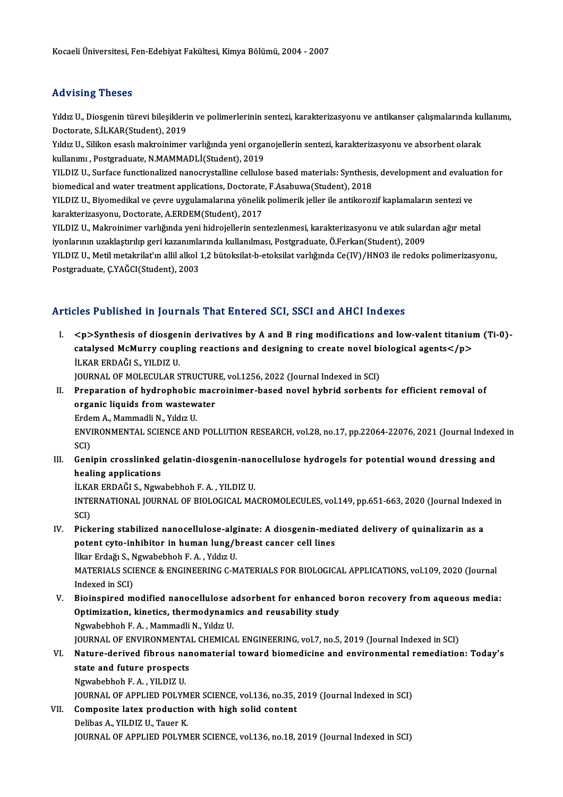#### Advising Theses

Advising Theses<br>Yıldız U., Diosgenin türevi bileşiklerin ve polimerlerinin sentezi, karakterizasyonu ve antikanser çalışmalarında kullanımı,<br>Destarata S.İI KAR(Student), 2019 raa vising "risses"<br>Yıldız U., Diosgenin türevi bileşikleri<br>Doctorate, S.İLKAR(Student), 2019<br>Yıldız U. Silikan esaslı malmajnimar Yıldız U., Diosgenin türevi bileşiklerin ve polimerlerinin sentezi, karakterizasyonu ve antikanser çalışmalarında ku<br>Doctorate, S.İLKAR(Student), 2019<br>Yıldız U., Silikon esaslı makroinimer varlığında yeni organojellerin se

Doctorate, S.İLKAR(Student), 2019<br>Yıldız U., Silikon esaslı makroinimer varlığında yeni orga<br>kullanımı , Postgraduate, N.MAMMADLİ(Student), 2019<br>YU DIZ U. Surface functionalized nanosuvstalline sellule Yıldız U., Silikon esaslı makroinimer varlığında yeni organojellerin sentezi, karakterizasyonu ve absorbent olarak<br>kullanımı , Postgraduate, N.MAMMADLİ(Student), 2019<br>YILDIZ U., Surface functionalized nanocrystalline cellu

kullanımı , Postgraduate, N.MAMMADLİ(Student), 2019<br>YILDIZ U., Surface functionalized nanocrystalline cellulose based materials: Synthesis, development and evaluation for<br>biomedical and water treatment applications, Doctor YILDIZ U., Surface functionalized nanocrystalline cellulose based materials: Synthesis, development and evalua<br>biomedical and water treatment applications, Doctorate, F.Asabuwa(Student), 2018<br>YILDIZ U., Biyomedikal ve çevr

biomedical and water treatment applications, Doctorate<br>YILDIZ U., Biyomedikal ve çevre uygulamalarına yönelik<br>karakterizasyonu, Doctorate, A.ERDEM(Student), 2017<br>YU DIZ U. Melmeinimer verkönde veni bidreiellerin sen YILDIZ U., Biyomedikal ve çevre uygulamalarına yönelik polimerik jeller ile antikorozif kaplamaların sentezi ve<br>karakterizasyonu, Doctorate, A.ERDEM(Student), 2017<br>YILDIZ U., Makroinimer varlığında yeni hidrojellerin sente

karakterizasyonu, Doctorate, A.ERDEM(Student), 2017<br>YILDIZ U., Makroinimer varlığında yeni hidrojellerin sentezlenmesi, karakterizasyonu ve atık sulardan ağır metal iyonlarının uzaklaştırılıp geri kazanımlarında kullanılması, Postgraduate, Ö.Ferkan(Student), 2009

YILDIZ U., Metil metakrilat'ın allil alkol 1,2 bütoksilat-b-etoksilat varlığında Ce(IV)/HNO3 ile redoks polimerizasyonu,<br>Postgraduate, Ç.YAĞCI(Student), 2003

#### Articles Published in Journals That Entered SCI, SSCI and AHCI Indexes

I. <p>Synthesis of diosgenin derivatives by A and B ringmodifications and low-valent titanium(Ti-0) exted Published III journals Plate Blitered Berl, 8881 and Phrist Indones<br>
<p>Synthesis of diosgenin derivatives by A and B ring modifications and low-valent titaniur<br>
catalysed McMurry coupling reactions and designing to *<p>Synthesis of diosger<br>catalysed McMurry coup<br>İLKAR ERDAĞI S., YILDIZ U.<br>JOUPMAL OF MOLECULAR S* catalysed McMurry coupling reactions and designing to create novel bi<br>İLKAR ERDAĞI S., YILDIZ U.<br>JOURNAL OF MOLECULAR STRUCTURE, vol.1256, 2022 (Journal Indexed in SCI)<br>Preperation of bydrophebis mesterinimer based novel b ILKAR ERDAĞI S., YILDIZ U.<br>JOURNAL OF MOLECULAR STRUCTURE, vol.1256, 2022 (Journal Indexed in SCI)<br>II. Preparation of hydrophobic macroinimer-based novel hybrid sorbents for efficient removal of

JOURNAL OF MOLECULAR STRUCTURE, vol.1256, 2022 (Journal Indexed in SCI)

organic liquids from wastewater ENVIRONMENTAL SCIENCE AND POLLUTION RESEARCH, vol.28, no.17, pp.22064-22076, 2021 (Journal Indexed in SCI) Erdem A., Mammadli N., Yıldız U. ENVIRONMENTAL SCIENCE AND POLLUTION RESEARCH, vol.28, no.17, pp.22064-22076, 2021 (Journal Indexe<br>SCI)<br>III. Genipin crosslinked gelatin-diosgenin-nanocellulose hydrogels for potential wound dressing and<br>hooling annisotions

## SCI)<br>Genipin crosslinked<br>healing applications<br>it gap EPDAČLS, News Genipin crosslinked gelatin-diosgenin-nan<br>healing applications<br>İLKAR ERDAĞI S., Ngwabebhoh F.A. , YILDIZ U.<br>INTERNATIONAL JOURNAL OF PIOLOCICAL MA

healing applications<br>İLKAR ERDAĞI S., Ngwabebhoh F. A. , YILDIZ U.<br>INTERNATIONAL JOURNAL OF BIOLOGICAL MACROMOLECULES, vol.149, pp.651-663, 2020 (Journal Indexed in İLKA<br>INTE<br>SCI)<br><sup>Bisk</sup> INTERNATIONAL JOURNAL OF BIOLOGICAL MACROMOLECULES, vol.149, pp.651-663, 2020 (Journal Indexe<br>SCI)<br>IV. Pickering stabilized nanocellulose-alginate: A diosgenin-mediated delivery of quinalizarin as a<br>natant sute inhibitor i

SCI)<br>Pickering stabilized nanocellulose-alginate: A diosgenin-med<br>potent cyto-inhibitor in human lung/breast cancer cell lines<br><sup>iller Erdağı S. Novebobbob E.A. Yıldır U</sup> Pickering stabilized nanocellulose-alg<br>potent cyto-inhibitor in human lung/t<br>İlkar Erdağı S., Ngwabebhoh F.A., Yıldız U.<br>MATERIALS SCIENCE & ENCINEERING G.M MATERIALS SCIENCE & ENGINEERING C-MATERIALS FOR BIOLOGICAL APPLICATIONS, vol.109, 2020 (Journal Indexed in SCI) İlkar Erdağı S., Ngwabebhoh F. A., Yıldız U.

MATERIALS SCIENCE & ENGINEERING C-MATERIALS FOR BIOLOGICAL APPLICATIONS, vol.109, 2020 (Journal<br>Indexed in SCI)<br>V. Bioinspired modified nanocellulose adsorbent for enhanced boron recovery from aqueous media:<br>Ontimization k Indexed in SCI)<br>Bioinspired modified nanocellulose adsorbent for enhanced l<br>Optimization, kinetics, thermodynamics and reusability study<br>Nguabobbob E.A., Mammadli N., Yıldız II Optimization, kinetics, thermodynamics and reusability study<br>Ngwabebhoh F.A., Mammadli N., Yıldız U.

JOURNAL OF ENVIRONMENTAL CHEMICAL ENGINEERING, vol.7, no.5, 2019 (Journal Indexed in SCI)

VI. Nature-derived fibrous nanomaterial toward biomedicine and environmental remediation: Today's **JOURNAL OF ENVIRONMENTA<br>Nature-derived fibrous nar<br>state and future prospects<br>Ngunbobbob E.A., VII DIZ II** Nature-derived fibrous na<br>state and future prospects<br>Ngwabebhoh F.A., YILDIZ U.<br>JOUPNAL OF APPLIED POLYN

Ngwabebhoh F. A. , YILDIZ U.<br>JOURNAL OF APPLIED POLYMER SCIENCE, vol.136, no.35, 2019 (Journal Indexed in SCI)

Ngwabebhoh F. A. , YILDIZ U.<br>JOURNAL OF APPLIED POLYMER SCIENCE, vol.136, no.35, .<br>VII. Composite latex production with high solid content<br>Delibes A. YILDIZ II. Toyer K. **JOURNAL OF APPLIED POLYM<br>Composite latex productio<br>Delibas A., YILDIZ U., Tauer K.<br>JOUPNAL OF APPLIED POLYM** Delibas A., YILDIZ U., Tauer K.<br>JOURNAL OF APPLIED POLYMER SCIENCE, vol.136, no.18, 2019 (Journal Indexed in SCI)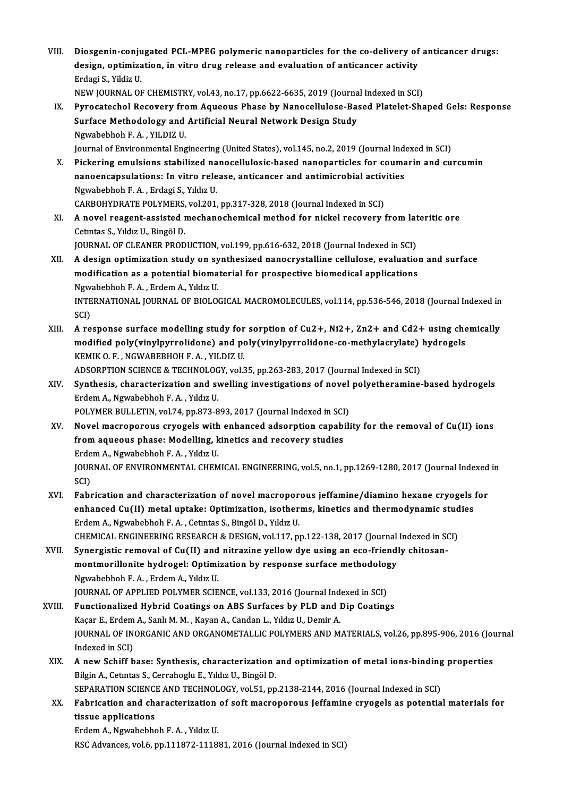VIII. Diosgenin-conjugated PCL-MPEG polymeric nanoparticles for the co-delivery of anticancer drugs:<br>degian entimization in vitre drug relegse and evaluation of anticancer activity Diosgenin-conjugated PCL-MPEG polymeric nanoparticles for the co-delivery of<br>design, optimization, in vitro drug release and evaluation of anticancer activity<br>Frdesi S. Vildiz II Diosgenin-conju<br>design, optimiza<br>Erdagi S., Yildiz U.<br>NEW JOUPNAL OF design, optimization, in vitro drug release and evaluation of anticancer activity<br>Erdagi S., Yildiz U.<br>NEW JOURNAL OF CHEMISTRY, vol.43, no.17, pp.6622-6635, 2019 (Journal Indexed in SCI)<br>Bunesstashel Bessuery from Asysous

- Erdagi S., Yildiz U.<br>IX. Pyrocatechol Recovery from Aqueous Phase by Nanocellulose-Based Platelet-Shaped Gels: Response<br>Surface Methodology and Artificial Neural Network Design Study NEW JOURNAL OF CHEMISTRY, vol.43, no.17, pp.6622-6635, 2019 (Journa<br>Pyrocatechol Recovery from Aqueous Phase by Nanocellulose-Ba:<br>Surface Methodology and Artificial Neural Network Design Study<br>Neurababbab E.A., YU DIZ U Pyrocatechol Recovery fro<br>Surface Methodology and<br>Ngwabebhoh F.A., YILDIZ U.<br>Journal of Environmental Eng Surface Methodology and Artificial Neural Network Design Study<br>Ngwabebhoh F. A. , YILDIZ U.<br>Journal of Environmental Engineering (United States), vol.145, no.2, 2019 (Journal Indexed in SCI)<br>Biskering emulsions stabilized
- Ngwabebhoh F. A. , YILDIZ U.<br>Journal of Environmental Engineering (United States), vol.145, no.2, 2019 (Journal Indexed in SCI)<br>X. Pickering emulsions stabilized nanocellulosic-based nanoparticles for coumarin and curcumin Journal of Environmental Engineering (United States), vol.145, no.2, 2019 (Journal Indeptick<br>Pickering emulsions stabilized nanocellulosic-based nanoparticles for couma<br>nanoencapsulations: In vitro release, anticancer and Pickering emulsions stabilized na<br>nanoencapsulations: In vitro rele<br>Ngwabebhoh F.A., Erdagi S., Yıldız U.<br>CARROUVDRATE ROLYMERS, YIL201 nanoencapsulations: In vitro release, anticancer and antimicrobial activities<br>Ngwabebhoh F. A. , Erdagi S., Yıldız U.<br>CARBOHYDRATE POLYMERS, vol.201, pp.317-328, 2018 (Journal Indexed in SCI)

XI. A novel reagent-assistedmechanochemicalmethod for nickel recovery fromlateritic ore Cetintas S., Yıldız U., Bingöl D.

JOURNAL OF CLEANER PRODUCTION, vol.199, pp.616-632, 2018 (Journal Indexed in SCI)

- XII. A design optimization study on synthesized nanocrystalline cellulose, evaluation and surface JOURNAL OF CLEANER PRODUCTION, vol.199, pp.616-632, 2018 (Journal Indexed in SCI)<br>A design optimization study on synthesized nanocrystalline cellulose, evaluation<br>modification as a potential biomaterial for prospective bio A design optimization study on sy<br>modification as a potential bioma<br>Ngwabebhoh F.A., Erdem A., Yıldız U.<br>INTERNATIONAL JOURNAL OF PIOLO modification as a potential biomaterial for prospective biomedical applications<br>Ngwabebhoh F. A. , Erdem A., Yıldız U.<br>INTERNATIONAL JOURNAL OF BIOLOGICAL MACROMOLECULES, vol.114, pp.536-546, 2018 (Journal Indexed in<br>SCD Ngwa<br>INTE<br>SCI)<br>A.re INTERNATIONAL JOURNAL OF BIOLOGICAL MACROMOLECULES, vol.114, pp.536-546, 2018 (Journal Indexed in<br>SCI)<br>XIII. A response surface modelling study for sorption of Cu2+, Ni2+, Zn2+ and Cd2+ using chemically<br>modified noly(vinul
- SCI)<br>A response surface modelling study for sorption of Cu2+, Ni2+, Zn2+ and Cd2+ using che<br>modified poly(vinylpyrrolidone) and poly(vinylpyrrolidone-co-methylacrylate) hydrogels<br>KEMIK O E NCWARERHOH E A VILDIZ II A response surface modelling study for<br>modified poly(vinylpyrrolidone) and po<br>KEMIK O. F. , NGWABEBHOH F. A. , YILDIZ U.<br>ADSOPPTION SCIENCE & TECHNOLOCY vol 3 modified poly(vinylpyrrolidone) and poly(vinylpyrrolidone-co-methylacrylate)<br>KEMIK O. F. , NGWABEBHOH F. A. , YILDIZ U.<br>ADSORPTION SCIENCE & TECHNOLOGY, vol.35, pp.263-283, 2017 (Journal Indexed in SCI)<br>Synthesis, shareste KEMIK O. F. , NGWABEBHOH F. A. , YILDIZ U.<br>ADSORPTION SCIENCE & TECHNOLOGY, vol.35, pp.263-283, 2017 (Journal Indexed in SCI)<br>XIV. Synthesis, characterization and swelling investigations of novel polyetheramine-based hydro
	-
- ADSORPTION SCIENCE & TECHNOLOG<br>Synthesis, characterization and sv<br>Erdem A., Ngwabebhoh F.A., Yıldız U.<br>POLYMER BULLETIN, YOL74, np.973-8 Synthesis, characterization and swelling investigations of novel<br>Erdem A., Ngwabebhoh F. A. , Yıldız U.<br>POLYMER BULLETIN, vol.74, pp.873-893, 2017 (Journal Indexed in SCI)<br>Novel megnenenevs envegels with enhanced adsenntio Erdem A., Ngwabebhoh F. A. , Yıldız U.<br>POLYMER BULLETIN, vol.74, pp.873-893, 2017 (Journal Indexed in SCI)<br>XV. Novel macroporous cryogels with enhanced adsorption capability for the removal of Cu(II) ions
- POLYMER BULLETIN, vol.74, pp.873-893, 2017 (Journal Indexed in SCI<br>Novel macroporous cryogels with enhanced adsorption capabi<br>from aqueous phase: Modelling, kinetics and recovery studies<br>Frdem A. Novebabbab E.A. VidualI Novel macroporous cryogels with<br>from aqueous phase: Modelling, k<br>Erdem A., Ngwabebhoh F.A., Yıldız U.<br>JOUPNAL OF ENVIRONMENTAL CHEM JOURNAL OF ENVIRONMENTAL CHEMICAL ENGINEERING, vol.5, no.1, pp.1269-1280, 2017 (Journal Indexed in<br>SCI) Erdem A., Ngwabebhoh F. A., Yıldız U. JOURNAL OF ENVIRONMENTAL CHEMICAL ENGINEERING, vol.5, no.1, pp.1269-1280, 2017 (Journal Indexed<br>SCI)<br>XVI. Fabrication and characterization of novel macroporous jeffamine/diamino hexane cryogels for<br>anhanged Cu(II) matel un
- SCI)<br>Fabrication and characterization of novel macroporous jeffamine/diamino hexane cryogels<br>enhanced Cu(II) metal uptake: Optimization, isotherms, kinetics and thermodynamic studies<br>Endem A. Nauphebbeb E.A. Cetutes S. Bin Fabrication and characterization of novel macropor<br>enhanced Cu(II) metal uptake: Optimization, isother<br>Erdem A., Ngwabebhoh F.A., Cetıntas S., Bingöl D., Yıldız U.<br>CHEMICAL ENCINEERING RESEARCH & DESICN vol.117, m enhanced Cu(II) metal uptake: Optimization, isotherms, kinetics and thermodynamic studies<br>Erdem A., Ngwabebhoh F. A. , Cetintas S., Bingöl D., Yıldız U.<br>CHEMICAL ENGINEERING RESEARCH & DESIGN, vol.117, pp.122-138, 2017 (Jo
- XVII. Synergistic removal of Cu(II) and nitrazine yellow dye using an eco-friendly chitosan-CHEMICAL ENGINEERING RESEARCH & DESIGN, vol.117, pp.122-138, 2017 (Journal<br>Synergistic removal of Cu(II) and nitrazine yellow dye using an eco-friend!<br>montmorillonite hydrogel: Optimization by response surface methodology<br> Synergistic removal of Cu(II) and<br>montmorillonite hydrogel: Optimi<br>Ngwabebhoh F.A., Erdem A., Yıldız U.<br>JOUPNAL OF APPLIED POLYMER SCIE montmorillonite hydrogel: Optimization by response surface methodolog<br>Ngwabebhoh F. A. , Erdem A., Yıldız U.<br>JOURNAL OF APPLIED POLYMER SCIENCE, vol.133, 2016 (Journal Indexed in SCI)<br>Eungtianalized Hybrid Costings on APS

- Ngwabebhoh F. A., Erdem A., Yıldız U.<br>JOURNAL OF APPLIED POLYMER SCIENCE, vol.133, 2016 (Journal Indexed in SCI)<br>XVIII. Functionalized Hybrid Coatings on ABS Surfaces by PLD and Dip Coatings<br>Kasar E. Erdem A. Sanh M. M. Ka JOURNAL OF APPLIED POLYMER SCIENCE, vol.133, 2016 (Journal Ind<br>Functionalized Hybrid Coatings on ABS Surfaces by PLD and l<br>Kaçar E., Erdem A., Sanlı M. M. , Kayan A., Candan L., Yıldız U., Demir A.<br>JOURNAL OE INORCANIC AND JOURNAL OF INORGANIC AND ORGANOMETALLIC POLYMERS AND MATERIALS, vol.26, pp.895-906, 2016 (Journal Indexed in SCI) Kaçar E., Erdem A., Sanlı M. M., Kayan A., Candan L., Yıldız U., Demir A. JOURNAL OF INORGANIC AND ORGANOMETALLIC POLYMERS AND MATERIALS, vol.26, pp.895-906, 2016 (Journal indexed in SCI)<br>XIX. A new Schiff base: Synthesis, characterization and optimization of metal ions-binding properties<br>Rikin
- Indexed in SCI)<br>**A new Schiff base: Synthesis, characterization** a<br>Bilgin A., Cetıntas S., Cerrahoglu E., Yıldız U., Bingöl D.<br>SERARATION SCIENCE AND TECHNOLOCY vol 51. pp A new Schiff base: Synthesis, characterization and optimization of metal ions-binding<br>Bilgin A., Cetntas S., Cerrahoglu E., Yıldız U., Bingöl D.<br>SEPARATION SCIENCE AND TECHNOLOGY, vol.51, pp.2138-2144, 2016 (Journal Indexe Bilgin A., Cetintas S., Cerrahoglu E., Yildiz U., Bingöl D.<br>SEPARATION SCIENCE AND TECHNOLOGY, vol.51, pp.2138-2144, 2016 (Journal Indexed in SCI)<br>XX. Fabrication and characterization of soft macroporous Jeffamine cryogels

SEPARATION SCIENC<br>Fabrication and charastissue applications<br>Frdem A. Nauphebbe Fabrication and characterization<br>tissue applications<br>Erdem A., Ngwabebhoh F. A. , Yıldız U.<br>PSC Advances vol 6 nn 111972 1119

tissue applications<br>Erdem A., Ngwabebhoh F. A. , Yıldız U.<br>RSC Advances, vol.6, pp.111872-111881, 2016 (Journal Indexed in SCI)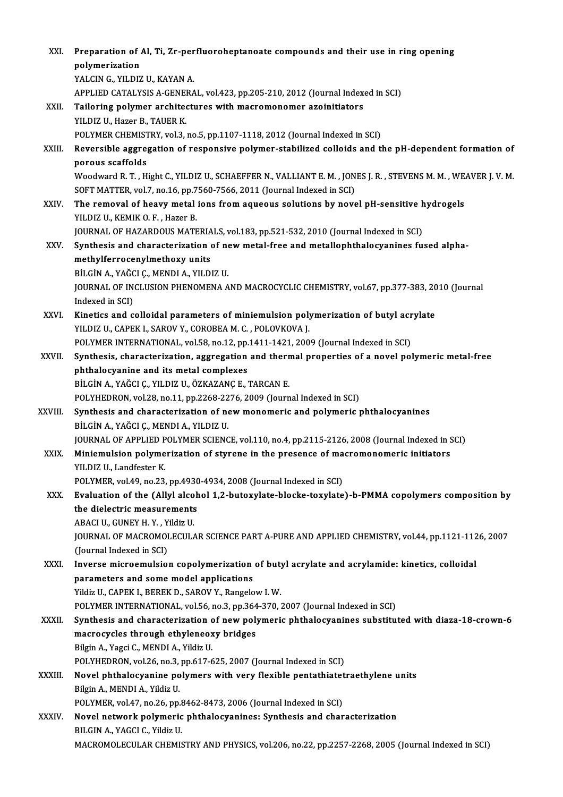| XXI.    | Preparation of Al, Ti, Zr-perfluoroheptanoate compounds and their use in ring opening<br>polymerization                                   |
|---------|-------------------------------------------------------------------------------------------------------------------------------------------|
|         | YALCIN G., YILDIZ U., KAYAN A.                                                                                                            |
|         | APPLIED CATALYSIS A-GENERAL, vol.423, pp.205-210, 2012 (Journal Indexed in SCI)                                                           |
| XXII.   | Tailoring polymer architectures with macromonomer azoinitiators                                                                           |
|         | YILDIZ U., Hazer B., TAUER K.                                                                                                             |
|         | POLYMER CHEMISTRY, vol.3, no.5, pp.1107-1118, 2012 (Journal Indexed in SCI)                                                               |
| XXIII.  | Reversible aggregation of responsive polymer-stabilized colloids and the pH-dependent formation of<br>porous scaffolds                    |
|         | Woodward R. T., Hight C., YILDIZ U., SCHAEFFER N., VALLIANT E. M., JONES J. R., STEVENS M. M., WEAVER J. V. M.                            |
|         | SOFT MATTER, vol.7, no.16, pp.7560-7566, 2011 (Journal Indexed in SCI)                                                                    |
| XXIV.   | The removal of heavy metal ions from aqueous solutions by novel pH-sensitive hydrogels                                                    |
|         | YILDIZ U, KEMIK O F., Hazer B.                                                                                                            |
|         | JOURNAL OF HAZARDOUS MATERIALS, vol.183, pp.521-532, 2010 (Journal Indexed in SCI)                                                        |
| XXV.    | Synthesis and characterization of new metal-free and metallophthalocyanines fused alpha-                                                  |
|         | methylferrocenylmethoxy units                                                                                                             |
|         | BİLGİN A., YAĞCI Ç., MENDI A., YILDIZ U.                                                                                                  |
|         | JOURNAL OF INCLUSION PHENOMENA AND MACROCYCLIC CHEMISTRY, vol.67, pp.377-383, 2010 (Journal                                               |
|         | Indexed in SCI)                                                                                                                           |
| XXVI.   | Kinetics and colloidal parameters of miniemulsion polymerization of butyl acrylate                                                        |
|         | YILDIZ U., CAPEK I., SAROV Y., COROBEA M. C., POLOVKOVA J.                                                                                |
|         | POLYMER INTERNATIONAL, vol.58, no.12, pp.1411-1421, 2009 (Journal Indexed in SCI)                                                         |
| XXVII.  | Synthesis, characterization, aggregation and thermal properties of a novel polymeric metal-free                                           |
|         | phthalocyanine and its metal complexes                                                                                                    |
|         | BİLGİN A., YAĞCI Ç., YILDIZ U., ÖZKAZANÇ E., TARCAN E.                                                                                    |
|         | POLYHEDRON, vol.28, no.11, pp.2268-2276, 2009 (Journal Indexed in SCI)                                                                    |
| XXVIII. | Synthesis and characterization of new monomeric and polymeric phthalocyanines                                                             |
|         | BİLGİN A., YAĞCI Ç., MENDI A., YILDIZ U.                                                                                                  |
|         | JOURNAL OF APPLIED POLYMER SCIENCE, vol.110, no.4, pp.2115-2126, 2008 (Journal Indexed in SCI)                                            |
| XXIX.   | Miniemulsion polymerization of styrene in the presence of macromonomeric initiators                                                       |
|         | YILDIZ U., Landfester K.                                                                                                                  |
|         | POLYMER, vol.49, no.23, pp.4930-4934, 2008 (Journal Indexed in SCI)                                                                       |
| XXX.    | Evaluation of the (Allyl alcohol 1,2-butoxylate-blocke-toxylate)-b-PMMA copolymers composition by                                         |
|         | the dielectric measurements                                                                                                               |
|         | ABACI U., GUNEY H. Y., Yildiz U.                                                                                                          |
|         | JOURNAL OF MACROMOLECULAR SCIENCE PART A-PURE AND APPLIED CHEMISTRY, vol.44, pp.1121-1126, 2007                                           |
|         | (Journal Indexed in SCI)                                                                                                                  |
| XXXI.   | Inverse microemulsion copolymerization of butyl acrylate and acrylamide: kinetics, colloidal                                              |
|         | parameters and some model applications                                                                                                    |
|         | Yildiz U., CAPEK I., BEREK D., SAROV Y., Rangelow I. W.<br>POLYMER INTERNATIONAL, vol.56, no.3, pp.364-370, 2007 (Journal Indexed in SCI) |
| XXXII.  | Synthesis and characterization of new polymeric phthalocyanines substituted with diaza-18-crown-6                                         |
|         | macrocycles through ethyleneoxy bridges                                                                                                   |
|         | Bilgin A., Yagci C., MENDI A., Yildiz U.                                                                                                  |
|         | POLYHEDRON, vol.26, no.3, pp.617-625, 2007 (Journal Indexed in SCI)                                                                       |
| XXXIII. | Novel phthalocyanine polymers with very flexible pentathiatetraethylene units                                                             |
|         | Bilgin A., MENDI A., Yildiz U.                                                                                                            |
|         | POLYMER, vol.47, no.26, pp.8462-8473, 2006 (Journal Indexed in SCI)                                                                       |
| XXXIV.  | Novel network polymeric phthalocyanines: Synthesis and characterization                                                                   |
|         | BILGIN A., YAGCI C., Yildiz U.                                                                                                            |
|         | MACROMOLECULAR CHEMISTRY AND PHYSICS, vol.206, no.22, pp.2257-2268, 2005 (Journal Indexed in SCI)                                         |
|         |                                                                                                                                           |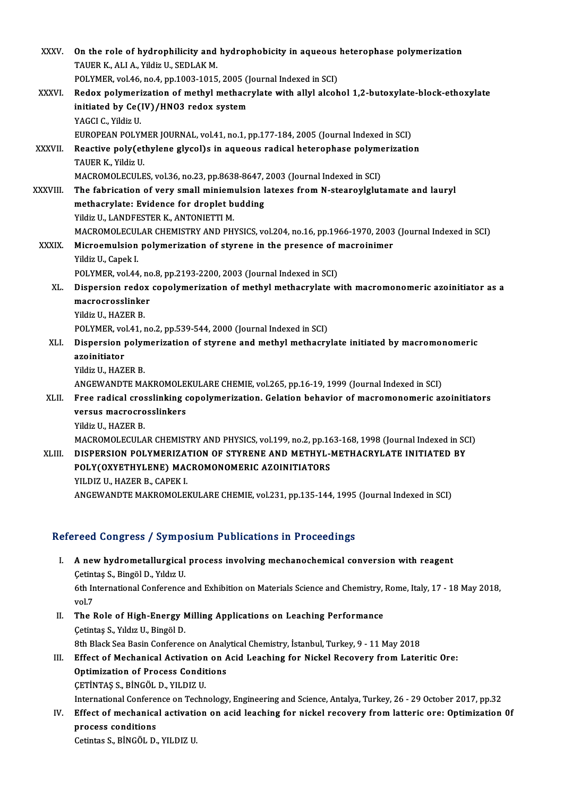| XXXV.         | On the role of hydrophilicity and hydrophobicity in aqueous heterophase polymerization                   |
|---------------|----------------------------------------------------------------------------------------------------------|
|               | TAUER K., ALI A., Yildiz U., SEDLAK M.                                                                   |
|               | POLYMER, vol.46, no.4, pp.1003-1015, 2005 (Journal Indexed in SCI)                                       |
| XXXVI.        | Redox polymerization of methyl methacrylate with allyl alcohol 1,2-butoxylate-block-ethoxylate           |
|               | initiated by Ce(IV)/HN03 redox system                                                                    |
|               | YAGCI C., Yildiz U.                                                                                      |
|               | EUROPEAN POLYMER JOURNAL, vol.41, no.1, pp.177-184, 2005 (Journal Indexed in SCI)                        |
| <b>XXXVII</b> | Reactive poly(ethylene glycol)s in aqueous radical heterophase polymerization                            |
|               | TAUER K., Yildiz U.                                                                                      |
|               | MACROMOLECULES, vol.36, no.23, pp.8638-8647, 2003 (Journal Indexed in SCI)                               |
| XXXVIII.      | The fabrication of very small miniemulsion latexes from N-stearoylglutamate and lauryl                   |
|               | methacrylate: Evidence for droplet budding                                                               |
|               | Yildiz U., LANDFESTER K., ANTONIETTI M.                                                                  |
|               | MACROMOLECULAR CHEMISTRY AND PHYSICS, vol.204, no.16, pp.1966-1970, 2003 (Journal Indexed in SCI)        |
| <b>XXXIX</b>  | Microemulsion polymerization of styrene in the presence of macroinimer                                   |
|               | Yildiz U., Capek I.                                                                                      |
|               | POLYMER, vol.44, no.8, pp.2193-2200, 2003 (Journal Indexed in SCI)                                       |
| XL.           | Dispersion redox copolymerization of methyl methacrylate with macromonomeric azoinitiator as a           |
|               | macrocrosslinker                                                                                         |
|               | Yildiz U, HAZER B                                                                                        |
|               | POLYMER, vol.41, no.2, pp.539-544, 2000 (Journal Indexed in SCI)                                         |
| XLI.          | Dispersion polymerization of styrene and methyl methacrylate initiated by macromonomeric<br>azoinitiator |
|               | Yildiz U., HAZER B.                                                                                      |
|               | ANGEWANDTE MAKROMOLEKULARE CHEMIE, vol.265, pp.16-19, 1999 (Journal Indexed in SCI)                      |
| XLII.         | Free radical crosslinking copolymerization. Gelation behavior of macromonomeric azoinitiators            |
|               | versus macrocrosslinkers                                                                                 |
|               | Yildiz U., HAZER B.                                                                                      |
|               | MACROMOLECULAR CHEMISTRY AND PHYSICS, vol.199, no.2, pp.163-168, 1998 (Journal Indexed in SCI)           |
| XLIII.        | DISPERSION POLYMERIZATION OF STYRENE AND METHYL-METHACRYLATE INITIATED BY                                |
|               | POLY(OXYETHYLENE) MACROMONOMERIC AZOINITIATORS                                                           |
|               | YILDIZ U., HAZER B., CAPEK I.                                                                            |
|               | ANGEWANDTE MAKROMOLEKULARE CHEMIE, vol.231, pp.135-144, 1995 (Journal Indexed in SCI)                    |
|               |                                                                                                          |

#### Refereed Congress / Symposium Publications in Proceedings

- efereed Congress / Symposium Publications in Proceedings<br>I. A new hydrometallurgical process involving mechanochemical conversion with reagent<br>Cetintes S. Bingöl D. Vydus U. A new hydrometallurgical<br>Cetintaş S., Bingöl D., Yıldız U.<br>Eth International Conference A new hydrometallurgical process involving mechanochemical conversion with reagent<br>Cetintaş S., Bingöl D., Yıldız U.<br>6th International Conference and Exhibition on Materials Science and Chemistry, Rome, Italy, 17 - 18 May Cetintas S., Bingöl D., Yıldız U.<br>6th International Conference and Exhibition on Materials Science and Chemistry, Rome, Italy, 17 - 18 May 2018,<br>vol.7 6th International Conference and Exhibition on Materials Science and Chemistry,<br>vol.7<br>II. The Role of High-Energy Milling Applications on Leaching Performance<br>Cetintes S. Vildual I. Bingöl D.
- vol.7<br>The Role of High-Energy M<br>Çetintaş S., Yıldız U., Bingöl D.<br><sup>Oth Plask Sos Basin Conferen</sup> The Role of High-Energy Milling Applications on Leaching Performance<br>Cetintas S., Yıldız U., Bingöl D.<br>8th Black Sea Basin Conference on Analytical Chemistry, İstanbul, Turkey, 9 - 11 May 2018<br>Effect of Machanical Activati
- Cetintas S., Yıldız U., Bingöl D.<br>8th Black Sea Basin Conference on Analytical Chemistry, İstanbul, Turkey, 9 11 May 2018<br>III. Effect of Mechanical Activation on Acid Leaching for Nickel Recovery from Lateritic Ore:<br>Opti 8th Black Sea Basin Conference on Analy<br>Effect of Mechanical Activation on Applimization of Process Conditions<br>CETINTAS S. PINGÖL D. VU DIZ U Effect of Mechanical Activation<br>Optimization of Process Condit<br>CETİNTAŞ S., BİNGÖL D., YILDIZ U.<br>International Cenference en Techn Optimization of Process Conditions<br>ÇETİNTAŞ S., BİNGÖL D., YILDIZ U.<br>International Conference on Technology, Engineering and Science, Antalya, Turkey, 26 - 29 October 2017, pp.32<br>Effect of mechanical activation on asid loc

CETINTAŞ S., BINGÖL D., YILDIZ U.<br>International Conference on Technology, Engineering and Science, Antalya, Turkey, 26 - 29 October 2017, pp.32<br>IV. Effect of mechanical activation on acid leaching for nickel recovery from International Confere:<br>Effect of mechanica<br>process conditions<br>Cetintes S. PiNCÖL D Effect of mechanical activatie<br>process conditions<br>Cetintas S., BİNGÖL D., YILDIZ U.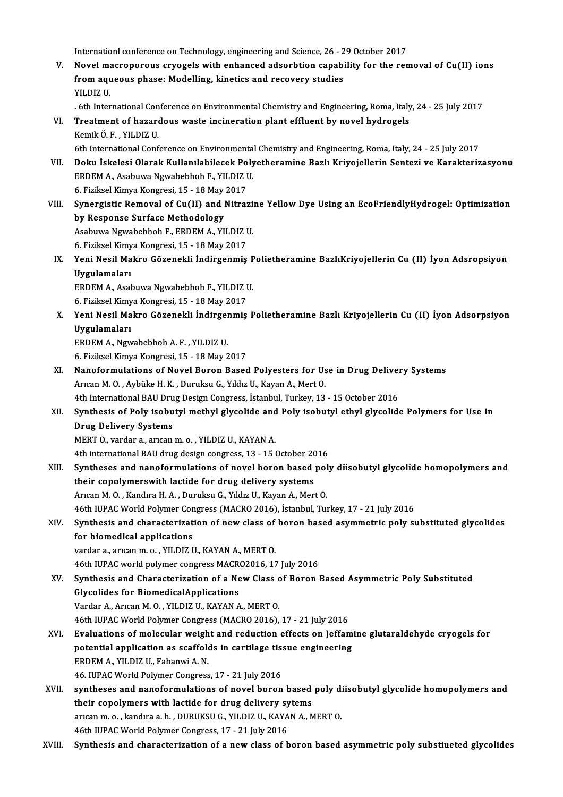Internationl conference on Technology, engineering and Science, 26 - 29 October 2017<br>Novel megneneneus envegels with enhanged adsentition sanability for the new

Internationl conference on Technology, engineering and Science, 26 - 29 October 2017<br>V. Novel macroporous cryogels with enhanced adsorbtion capability for the removal of Cu(II) ions<br>from agueeus phase: Modelling, kineties Internationl conference on Technology, engineering and Science, 26 - 2<br>Novel macroporous cryogels with enhanced adsorbtion capabi<br>from aqueous phase: Modelling, kinetics and recovery studies<br>yu D17 U Novel ma<br>from aqu<br>YILDIZ U.<br>Eth Inter from aqueous phase: Modelling, kinetics and recovery studies<br>YILDIZ U.<br>. 6th International Conference on Environmental Chemistry and Engineering, Roma, Italy, 24 - 25 July 2017<br>Treatment of harardous weste insineration pla

- YILDIZ U.<br>6th International Conference on Environmental Chemistry and Engineering, Roma, Italy VI.<br>7. Treatment of hazardous waste incineration plant effluent by novel hydrogels<br>6. Kemik Ö. F. , YILDIZ U. . 6th International Con<br>Treatment of hazard<br>Kemik Ö. F. , YILDIZ U.<br>Eth International Conf
- 6th International Conference on Environmental Chemistry and Engineering, Roma, Italy, 24 25 July 2017 Kemik Ö. F. , YILDIZ U.<br>6th International Conference on Environmental Chemistry and Engineering, Roma, Italy, 24 - 25 July 2017<br>FRIDEM A. Asshuwa Ngumbabbab E. YU DIZ U. 6th International Conference on Environmenta<br>Doku İskelesi Olarak Kullanılabilecek Poly<br>ERDEM A., Asabuwa Ngwabebhoh F., YILDIZ U.<br>6. Firilicel Kimya Kongresi 15 - 18 May 2017 Doku İskelesi Olarak Kullanılabilecek Po<br>ERDEM A., Asabuwa Ngwabebhoh F., YILDIZ I<br>6. Fiziksel Kimya Kongresi, 15 - 18 May 2017<br>Synongistis Bomoval of Cu(II) and Nitros

6. Fiziksel Kimya Kongresi, 15 - 18 May 2017

ERDEM A., Asabuwa Ngwabebhoh F., YILDIZ U.<br>6. Fiziksel Kimya Kongresi, 15 - 18 May 2017<br>VIII. Synergistic Removal of Cu(II) and Nitrazine Yellow Dye Using an EcoFriendlyHydrogel: Optimization<br>by Response Surface Method Synergistic Removal of Cu(II) and Nitrazi:<br>by Response Surface Methodology<br>Asabuwa Ngwabebhoh F., ERDEM A., YILDIZ U.<br>6. Firikeel Kimya Kongresi 15 - 18 May 2017

by Response Surface Methodology<br>Asabuwa Ngwabebhoh F., ERDEM A., YILDIZ I<br>6. Fiziksel Kimya Kongresi, 15 - 18 May 2017<br>Yoni Nesil Makro Görenekli İndirsenmiş

- 
- Asabuwa Ngwabebhoh F., ERDEM A., YILDIZ U.<br>6. Fiziksel Kimya Kongresi, 15 18 May 2017<br>IX. Yeni Nesil Makro Gözenekli İndirgenmiş Polietheramine BazlıKriyojellerin Cu (II) İyon Adsropsiyon<br>Uyaylamaları 6. Fiziksel Kimya Kongresi, 15 - 18 May 2017<br>Yeni Nesil Makro Gözenekli İndirgenmiş<br>Uygulamaları Yeni Nesil Makro Gözenekli İndirgenmiş P<br>Uygulamaları<br>ERDEM A., Asabuwa Ngwabebhoh F., YILDIZ U.<br>6. Firilizel Kimus Kongresi 15 - 18 Mey 2017

ERDEM A., Asabuwa Ngwabebhoh F., YILDIZ U.<br>6. Fiziksel Kimya Kongresi, 15 - 18 May 2017

ERDEM A., Asabuwa Ngwabebhoh F., YILDIZ U.<br>6. Fiziksel Kimya Kongresi, 15 - 18 May 2017<br>X. Yeni Nesil Makro Gözenekli İndirgenmiş Polietheramine Bazlı Kriyojellerin Cu (II) İyon Adsorpsiyon<br>Uygulamaları 6. Fiziksel Kimy<br>Yeni Nesil Ma<br>Uygulamaları<br>EPDEM A. Nov Yeni Nesil Makro Gözenekli İndirger<br>Uygulamaları<br>ERDEM A., Ngwabebhoh A.F., YILDIZ U.<br>6. Firikeel Kimya Kongresi 15, 19 May 2 Uygulamaları<br>6. Fiziksel Kimya Kongresi, 15 - 18 May 2017<br>6. Fiziksel Kimya Kongresi, 15 - 18 May 2017

ERDEM A., Ngwabebhoh A. F. , YILDIZ U.<br>6. Fiziksel Kimya Kongresi, 15 - 18 May 2017<br>XI. Nanoformulations of Novel Boron Based Polyesters for Use in Drug Delivery Systems<br>Arican M.O. Arbijka H. K., Durukay G. Yıldız II. Kay 6. Fiziksel Kimya Kongresi, 15 - 18 May 2017<br>Nanoformulations of Novel Boron Based Polyesters for Us<br>Arıcan M. O. , Aybüke H. K. , Duruksu G., Yıldız U., Kayan A., Mert O.<br>4th International PAU Drug Design Congress, İstanb Nanoformulations of Novel Boron Based Polyesters for Use in Drug Deliver<br>Arıcan M. O., Aybüke H. K., Duruksu G., Yıldız U., Kayan A., Mert O.<br>4th International BAU Drug Design Congress, İstanbul, Turkey, 13 - 15 October 20

### Arıcan M. O. , Aybüke H. K. , Duruksu G., Yıldız U., Kayan A., Mert O.<br>4th International BAU Drug Design Congress, İstanbul, Turkey, 13 - 15 October 2016<br>XII. Synthesis of Poly isobutyl methyl glycolide and Poly isobutyl e 4th International BAU Dru<br>Synthesis of Poly isobu<br>Drug Delivery Systems<br>MERT O warder a awson Synthesis of Poly isobutyl methyl glycolide and<br>Drug Delivery Systems<br>MERT 0., vardar a., arıcan m. o. , YILDIZ U., KAYAN A.<br>4th international BAU drug design congress 13 , 15 . Drug Delivery Systems<br>MERT 0., vardar a., arıcan m. o. , YILDIZ U., KAYAN A.<br>4th international BAU drug design congress, 13 - 15 October 2016<br>Synthoses and nanoformulations of novel beren based noll

MERT 0., vardar a., arican m. o. , YILDIZ U., KAYAN A.<br>4th international BAU drug design congress, 13 - 15 October 2016<br>XIII. Syntheses and nanoformulations of novel boron based poly diisobutyl glycolide homopolymers and<br>t 4th international BAU drug design congress, 13 - 15 October 20<br>Syntheses and nanoformulations of novel boron based<br>their copolymerswith lactide for drug delivery systems<br>Aween M.O., Kandwe H.A., Durukey G., Vildy H. Kayan

Arıcan M. O., Kandıra H. A., Duruksu G., Yıldız U., Kayan A., Mert O.

46th IUPAC World Polymer Congress (MACRO 2016), İstanbul, Turkey, 17 - 21 July 2016

Arıcan M. O. , Kandıra H. A. , Duruksu G., Yıldız U., Kayan A., Mert O.<br>46th IUPAC World Polymer Congress (MACRO 2016), İstanbul, Turkey, 17 - 21 July 2016<br>XIV. Synthesis and characterization of new class of boron based as 46th IUPAC World Polymer Con<br>Synthesis and characterizations<br>for biomedical applications<br>warder a sweep m a WI DIZI Synthesis and characterization of new class of<br>for biomedical applications<br>vardar a., arıcan m. o. , YILDIZ U., KAYAN A., MERT 0.<br>46th UIBAC world polymer congress MACP02016, 17 for biomedical applications<br>vardar a., arıcan m. o. , YILDIZ U., KAYAN A., MERT 0.<br>46th IUPAC world polymer congress MACRO2016, 17 July 2016<br>Synthesis and Characterization of a New Class of Boron I

vardar a., arican m. o. , YILDIZ U., KAYAN A., MERT 0.<br>46th IUPAC world polymer congress MACR02016, 17 July 2016<br>XV. Synthesis and Characterization of a New Class of Boron Based Asymmetric Poly Substituted<br>Glycolides for B 46th IUPAC world polymer congress MACR<br>Synthesis and Characterization of a Ne<br>Glycolides for BiomedicalApplications<br>Vardar A Arican M O - VII DIZ U-KAYAN A Vardar A., Arıcan M. O., YILDIZ U., KAYAN A., MERTO. Glycolides for BiomedicalApplications<br>Vardar A., Arıcan M. O. , YILDIZ U., KAYAN A., MERT O.<br>46th IUPAC World Polymer Congress (MACRO 2016), 17 - 21 July 2016<br>Evaluations of malaqular weight and reduction offects on Jeffam Vardar A., Arican M. O. , YILDIZ U., KAYAN A., MERT O.<br>46th IUPAC World Polymer Congress (MACRO 2016), 17 - 21 July 2016<br>XVI. Braluations of molecular weight and reduction effects on Jeffamine glutaraldehyde cryogels for<br>n

### 46th IUPAC World Polymer Congress (MACRO 2016), 17 - 21 July 2016<br>Evaluations of molecular weight and reduction effects on Jeffam<br>potential application as scaffolds in cartilage tissue engineering<br>EPDEM A, VILDIZ IL Esbany Evaluations of molecular weigh<br>potential application as scaffold<br>ERDEM A., YILDIZ U., Fahanwi A. N.<br>46 UIBAC World Bolymar Congress potential application as scaffolds in cartilage tissue engineering<br>ERDEM A., YILDIZ U., Fahanwi A. N.<br>46. IUPAC World Polymer Congress, 17 - 21 July 2016 ERDEM A., YILDIZ U., Fahanwi A. N.<br>46. IUPAC World Polymer Congress, 17 - 21 July 2016<br>XVII. syntheses and nanoformulations of novel boron based poly diisobutyl glycolide homopolymers and<br>their senelymers with leatide for

- 46. IUPAC World Polymer Congress, 17 21 July 2016<br>syntheses and nanoformulations of novel boron based<br>their copolymers with lactide for drug delivery sytems<br>arisen m.e., kondines b., DUBUKSU.C., VU DIZ U. KAYAN A.A. syntheses and nanoformulations of novel boron based poly difficiency copolymers with lactide for drug delivery sytems<br>arıcan m. o. , kandıra a. h. , DURUKSU G., YILDIZ U., KAYAN A., MERT O.<br>46th UIBAC World Bolyman Congres their copolymers with lactide for drug delivery sytems<br>arican m.o., kandira a.h., DURUKSU G., YILDIZ U., KAYAN A., MERT O.<br>46th IUPAC World Polymer Congress, 17 - 21 July 2016
- XVIII. Synthesis and characterization of a new class of boron based asymmetric poly substiueted glycolides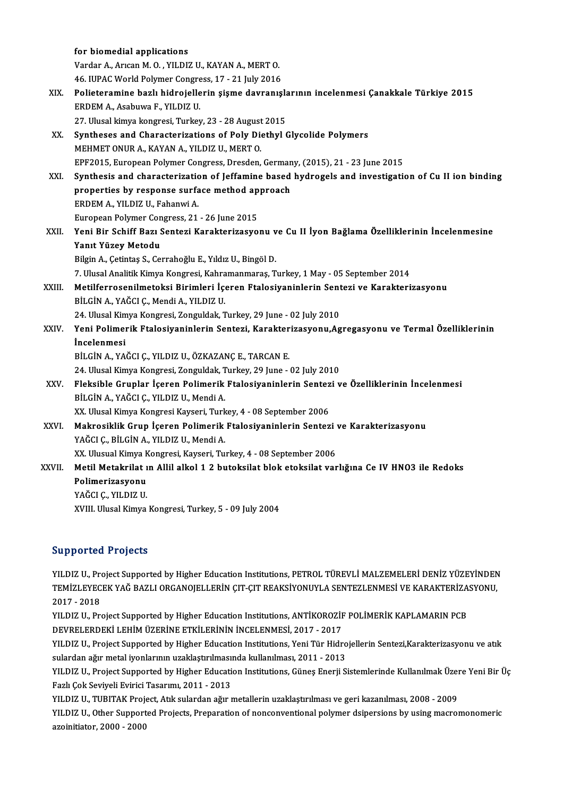|        | for biomedial applications                                                                         |
|--------|----------------------------------------------------------------------------------------------------|
|        | Vardar A., Arican M. O., YILDIZ U., KAYAN A., MERT O.                                              |
|        | 46. IUPAC World Polymer Congress, 17 - 21 July 2016                                                |
| XIX.   | Polieteramine bazlı hidrojellerin şişme davranışlarının incelenmesi Çanakkale Türkiye 2015         |
|        | ERDEM A., Asabuwa F., YILDIZ U.                                                                    |
|        | 27. Ulusal kimya kongresi, Turkey, 23 - 28 August 2015                                             |
| XX.    | Syntheses and Characterizations of Poly Diethyl Glycolide Polymers                                 |
|        | MEHMET ONUR A., KAYAN A., YILDIZ U., MERT O.                                                       |
|        | EPF2015, European Polymer Congress, Dresden, Germany, (2015), 21 - 23 June 2015                    |
| XXI.   | Synthesis and characterization of Jeffamine based hydrogels and investigation of Cu II ion binding |
|        | properties by response surface method approach                                                     |
|        | ERDEM A, YILDIZ U, Fahanwi A                                                                       |
|        | European Polymer Congress, 21 - 26 June 2015                                                       |
| XXII.  | Yeni Bir Schiff Bazı Sentezi Karakterizasyonu ve Cu II İyon Bağlama Özelliklerinin İncelenmesine   |
|        | Yanıt Yüzey Metodu                                                                                 |
|        | Bilgin A., Çetintaş S., Cerrahoğlu E., Yıldız U., Bingöl D.                                        |
|        | 7. Ulusal Analitik Kimya Kongresi, Kahramanmaraş, Turkey, 1 May - 05 September 2014                |
| XXIII. | Metilferrosenilmetoksi Birimleri İçeren Ftalosiyaninlerin Sentezi ve Karakterizasyonu              |
|        | BİLGİN A., YAĞCI Ç., Mendi A., YILDIZ U.                                                           |
|        | 24. Ulusal Kimya Kongresi, Zonguldak, Turkey, 29 June - 02 July 2010                               |
| XXIV.  | Yeni Polimerik Ftalosiyaninlerin Sentezi, Karakterizasyonu, Agregasyonu ve Termal Özelliklerinin   |
|        | <i>incelenmesi</i>                                                                                 |
|        | BİLGİN A., YAĞCI Ç., YILDIZ U., ÖZKAZANÇ E., TARCAN E.                                             |
|        | 24. Ulusal Kimya Kongresi, Zonguldak, Turkey, 29 June - 02 July 2010                               |
| XXV.   | Fleksible Gruplar İçeren Polimerik Ftalosiyaninlerin Sentezi ve Özelliklerinin İncelenmesi         |
|        | BİLGİN A, YAĞCI Ç., YILDIZ U., Mendi A.                                                            |
|        | XX. Ulusal Kimya Kongresi Kayseri, Turkey, 4 - 08 September 2006                                   |
| XXVI.  | Makrosiklik Grup İçeren Polimerik Ftalosiyaninlerin Sentezi ve Karakterizasyonu                    |
|        | YAĞCI Ç., BİLGİN A., YILDIZ U., Mendi A.                                                           |
|        | XX. Ulusual Kimya Kongresi, Kayseri, Turkey, 4 - 08 September 2006                                 |
| XXVII. | Metil Metakrilat ın Allil alkol 1 2 butoksilat blok etoksilat varlığına Ce IV HNO3 ile Redoks      |
|        | Polimerizasyonu                                                                                    |
|        | YAĞCI Ç., YILDIZ U.                                                                                |
|        | XVIII. Ulusal Kimya Kongresi, Turkey, 5 - 09 July 2004                                             |
|        |                                                                                                    |

#### Supported Projects

YILDIZ U., Project Supported by Higher Education Institutions, PETROL TÜREVLİ MALZEMELERİ DENİZ YÜZEYİNDEN SAPPOTESA TTOJSES<br>YILDIZ U., Project Supported by Higher Education Institutions, PETROL TÜREVLİ MALZEMELERİ DENİZ YÜZEYİNDEN<br>TEMİZLEYECEK YAĞ BAZLI ORGANOJELLERİN ÇIT-ÇIT REAKSİYONUYLA SENTEZLENMESİ VE KARAKTERİZASYONU, YILDIZ U., Pr<mark>e</mark><br>TEMİZLEYEC<br>2017 - 2018<br>YU DIZ U. Pre TEMİZLEYECEK YAĞ BAZLI ORGANOJELLERİN ÇIT-ÇIT REAKSİYONUYLA SENTEZLENMESİ VE KARAKTERİZA<br>2017 - 2018<br>YILDIZ U., Project Supported by Higher Education Institutions, ANTİKOROZİF POLİMERİK KAPLAMARIN PCB<br>DEVPEL ERDEKİ LEHIM Ü

2017 - 2018<br>YILDIZ U., Project Supported by Higher Education Institutions, ANTİKOROZİF POLİMERİK KAPLAMARIN PCB<br>DEVRELERDEKİ LEHİM ÜZERİNE ETKİLERİNİN İNCELENMESİ, 2017 - 2017 YILDIZ U., Project Supported by Higher Education Institutions, ANTİKOROZİF POLİMERİK KAPLAMARIN PCB<br>DEVRELERDEKİ LEHİM ÜZERİNE ETKİLERİNİN İNCELENMESİ, 2017 - 2017<br>YILDIZ U., Project Supported by Higher Education Instituti

DEVRELERDEKİ LEHİM ÜZERİNE ETKİLERİNİN İNCELENMESİ, 2017 - 2017<br>YILDIZ U., Project Supported by Higher Education Institutions, Yeni Tür Hidro<br>sulardan ağır metal iyonlarının uzaklaştırılmasında kullanılması, 2011 - 2013<br>YU YILDIZ U., Project Supported by Higher Education Institutions, Yeni Tür Hidrojellerin Sentezi,Karakterizasyonu ve atık<br>sulardan ağır metal iyonlarının uzaklaştırılmasında kullanılması, 2011 - 2013<br>YILDIZ U., Project Suppor

sulardan ağır metal iyonlarının uzaklaştırılmasında kullanılması, 2011 - 2013<br>YILDIZ U., Project Supported by Higher Education Institutions, Güneş Enerji Sistemlerinde Kullanılmak Üzere Yeni Bir Üç<br>Fazlı Çok Seviyeli Eviri YILDIZ U., Project Supported by Higher Education Institutions, Güneş Enerji Sistemlerinde Kullanılmak Üzer<br>Fazlı Çok Seviyeli Evirici Tasarımı, 2011 - 2013<br>YILDIZ U., TUBITAK Project, Atık sulardan ağır metallerin uzaklaşt

YILDIZ U., Other Supported Projects, Preparation of nonconventional polymer dsipersions by using macromonomeric<br>azoinitiator, 2000 - 2000 YILDIZ U., TUBITAK Proj<br>YILDIZ U., Other Support<br>azoinitiator, 2000 - 2000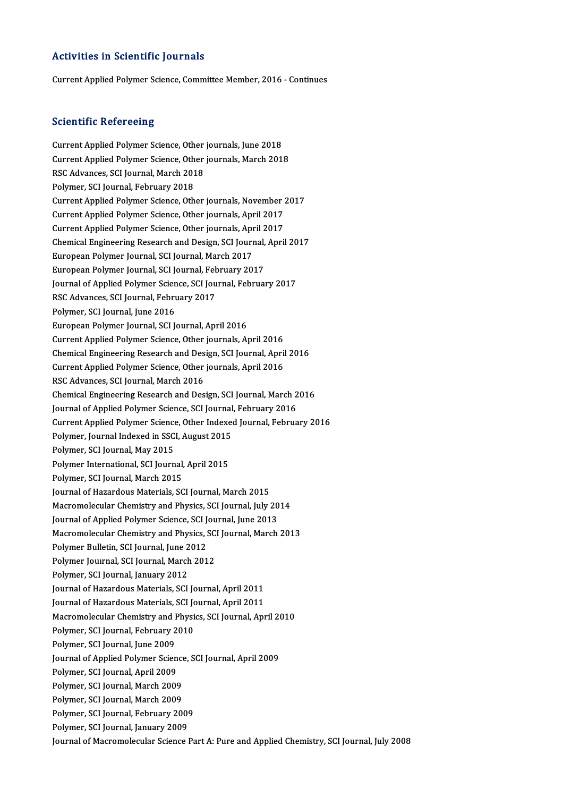#### Activities in Scientific Journals

Current Applied Polymer Science, Committee Member, 2016 - Continues

#### **Scientific Refereeing**

Scientific Refereeing<br>Current Applied Polymer Science, Other journals, June 2018<br>Current Applied Polymer Science, Other journals, March 201 Current Applied Polymer Science, Other journals, June 2018<br>Current Applied Polymer Science, Other journals, March 2018<br>RSC Advances, SCI Journal, March 2018 **Current Applied Polymer Science, Other<br>Current Applied Polymer Science, Other<br>RSC Advances, SCI Journal, March 2018**<br>Polymor, SCI Journal, Echmuany 2018 Current Applied Polymer Science, Oth<br>RSC Advances, SCI Journal, March 201<br>Polymer, SCI Journal, February 2018<br>Current Applied Polymer Science, Oth RSC Advances, SCI Journal, March 2018<br>Polymer, SCI Journal, February 2018<br>Current Applied Polymer Science, Other journals, November 2017<br>Current Applied Polymer Science, Other journals, April 2017 Polymer, SCI Journal, February 2018<br>Current Applied Polymer Science, Other journals, November<br>Current Applied Polymer Science, Other journals, April 2017<br>Current Applied Polymer Science, Other journals, April 2017 Current Applied Polymer Science, Other journals, November 2<br>Current Applied Polymer Science, Other journals, April 2017<br>Current Applied Polymer Science, Other journals, April 2017<br>Chamical Engineering Bessarsh and Design, Current Applied Polymer Science, Other journals, April 2017<br>Current Applied Polymer Science, Other journals, April 2017<br>Chemical Engineering Research and Design, SCI Journal, April 2017<br>European Bolymer Journal, SCI Journa Current Applied Polymer Science, Other journals, App<br>Chemical Engineering Research and Design, SCI Journ<br>European Polymer Journal, SCI Journal, March 2017<br>European Polymer Journal, SCI Journal, February 20 Chemical Engineering Research and Design, SCI Journal,<br>European Polymer Journal, SCI Journal, March 2017<br>European Polymer Journal, SCI Journal, February 2017<br>Journal of Applied Polymer Science, SCI Journal, Februar European Polymer Journal, SCI Journal, March 2017<br>European Polymer Journal, SCI Journal, February 2017<br>Journal of Applied Polymer Science, SCI Journal, February 2017<br>PSC Advances, SCI Journal, February 2017 European Polymer Journal, SCI Journal, Feb<br>Journal of Applied Polymer Science, SCI Jou<br>RSC Advances, SCI Journal, February 2017<br>Polymer SCI Journal June 2016 Journal of Applied Polymer Scien<br>RSC Advances, SCI Journal, Febru<br>Polymer, SCI Journal, June 2016<br>Funencen Polymer Journal, SCI L RSC Advances, SCI Journal, February 2017<br>Polymer, SCI Journal, June 2016<br>European Polymer Journal, SCI Journal, April 2016 Polymer, SCI Journal, June 2016<br>European Polymer Journal, SCI Journal, April 2016<br>Current Applied Polymer Science, Other journals, April 2016<br>Chamisal Engineering Bessamb and Design, SCI Journal, April Chemical Engineering Research and Design, SCI Journal, April 2016<br>Current Applied Polymer Science, Other journals, April 2016 Current Applied Polymer Science, Other journals, April 2016<br>Chemical Engineering Research and Design, SCI Journal, April<br>Current Applied Polymer Science, Other journals, April 2016<br>RSC Advances, SCI Jaunnal, March 2016 RSC Advances, SCI Journal, March 2016 Chemical Engineering Research and Design, SCI Journal, March 2016 Journal of Applied Polymer Science, SCI Journal, February 2016 Chemical Engineering Research and Design, SCI Journal, March 2016<br>Journal of Applied Polymer Science, SCI Journal, February 2016<br>Current Applied Polymer Science, Other Indexed Journal, February 2016<br>Polymer, Journal Indexe Journal of Applied Polymer Science, SCI Journal<br>Current Applied Polymer Science, Other Indexed<br>Polymer, Journal Indexed in SSCI, August 2015<br>Polymer, SCI Journal, May 2015 Polymer, SCI Journal, May 2015 Polymer, Journal Indexed in SSCI, August 2015<br>Polymer, SCI Journal, May 2015<br>Polymer International, SCI Journal, April 2015<br>Polymer, SCI Journal, March 2015 Polymer International, SCI Journal, April 2015 Journal of Hazardous Materials, SCI Journal, March 2015 Polymer, SCI Journal, March 2015<br>Journal of Hazardous Materials, SCI Journal, March 2015<br>Macromolecular Chemistry and Physics, SCI Journal, July 2014<br>Journal of Annlied Polymer Science, SCI Journal, June 2012 Journal of Hazardous Materials, SCI Journal, March 2015<br>Macromolecular Chemistry and Physics, SCI Journal, July 20<br>Journal of Applied Polymer Science, SCI Journal, June 2013<br>Magramalagular Chemistry and Physics, SCI Journa Macromolecular Chemistry and Physics, SCI Journal, July 2014<br>Journal of Applied Polymer Science, SCI Journal, June 2013<br>Macromolecular Chemistry and Physics, SCI Journal, March 2013<br>Polymer Pulletin, SCI Journal, June 2012 Journal of Applied Polymer Science, SCI Journal, June 2013<br>Macromolecular Chemistry and Physics, SCI Journal, March<br>Polymer Bulletin, SCI Journal, June 2012 Macromolecular Chemistry and Physics, SCI Journal, March 2013<br>Polymer Bulletin, SCI Journal, June 2012<br>Polymer Journal, SCI Journal, March 2012<br>Polymer, SCI Journal, January 2012 Polymer Journal, SCI Journal, March 2012 Polymer Journal, SCI Journal, March 2012<br>Polymer, SCI Journal, January 2012<br>Journal of Hazardous Materials, SCI Journal, April 2011<br>Journal of Hazardous Materials, SCI Journal, April 2011 Polymer, SCI Journal, January 2012<br>Journal of Hazardous Materials, SCI Journal, April 2011<br>Journal of Hazardous Materials, SCI Journal, April 2011<br>Magnamalagular Chamistry and Physics, SCI Journal, Apr Journal of Hazardous Materials, SCI Journal, April 2011<br>Journal of Hazardous Materials, SCI Journal, April 2011<br>Macromolecular Chemistry and Physics, SCI Journal, April 2010<br>Polymor SCI Journal Fobruory 2010 Journal of Hazardous Materials, SCI Jo<br>Macromolecular Chemistry and Physi<br>Polymer, SCI Journal, February 2010<br>Polymer, SCI Journal, June 2009 Macromolecular Chemistry and I<br>Polymer, SCI Journal, February 2<br>Polymer, SCI Journal, June 2009<br>Journal of Applied Polymer Scien Polymer, SCI Journal, February 2010<br>Polymer, SCI Journal, June 2009<br>Journal of Applied Polymer Science, SCI Journal, April 2009<br>Polymer, SCI Journal, April 2009 Polymer, SCI Journal, June 2009<br>Journal of Applied Polymer Scien<br>Polymer, SCI Journal, April 2009<br>Polymer, SCI Journal, March 2009 Journal of Applied Polymer Science<br>Polymer, SCI Journal, April 2009<br>Polymer, SCI Journal, March 2009<br>Polymer, SCI Journal, March 2009 Polymer, SCI Journal, April 2009<br>Polymer, SCI Journal, March 2009<br>Polymer, SCI Journal, March 2009<br>Polymer, SCI Journal, Eebruary, 200 Polymer, SCI Journal, March 2009<br>Polymer, SCI Journal, March 2009<br>Polymer, SCI Journal, February 2009<br>Polymer, SCI Journal, Jonuary 2009 Polymer, SCI Journal, March 2009<br>Polymer, SCI Journal, February 2009<br>Polymer, SCI Journal, January 2009<br>Journal of Magramalogular Science I Polymer, SCI Journal, February 2009<br>Polymer, SCI Journal, January 2009<br>Journal of Macromolecular Science Part A: Pure and Applied Chemistry, SCI Journal, July 2008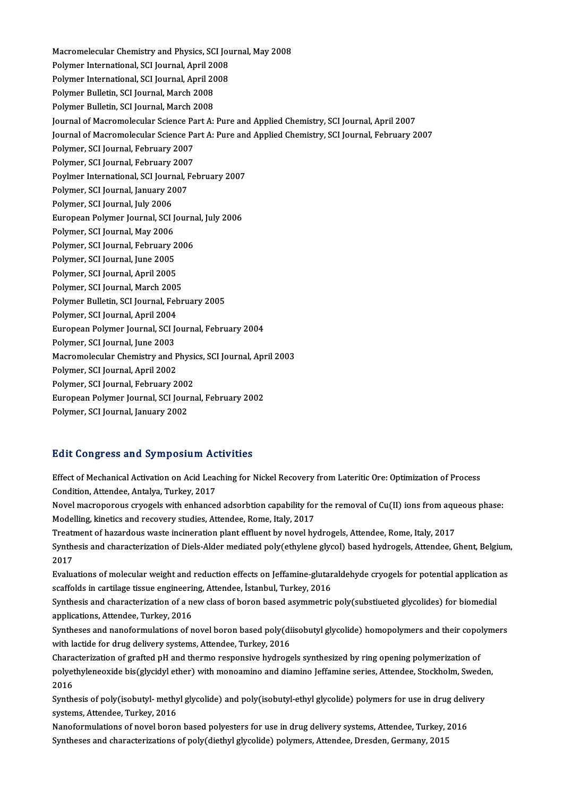Macromelecular Chemistry and Physics, SCI Journal, May 2008<br>Pelymar International, SCI Journal, Anril 2009 Macromelecular Chemistry and Physics, SCI Journal, April<br>2008 Polymer International, SCI Journal, April<br>2008 Rokwar International, SCI Journal, April 2008 Macromelecular Chemistry and Physics, SCI Journal, April 2008<br>Polymer International, SCI Journal, April 2008<br>Polymer International, SCI Journal, April 2008<br>Polymer Pullatin, SCI Journal, March 2009 Polymer International, SCI Journal, April 20<br>Polymer International, SCI Journal, April 20<br>Polymer Bulletin, SCI Journal, March 2008<br>Polymer Bulletin, SCI Journal, March 2009 Polymer International, SCI Journal, April 20<br>Polymer Bulletin, SCI Journal, March 2008<br>Polymer Bulletin, SCI Journal, March 2008<br>Journal of Masromologylar Scionce Bart Au Polymer Bulletin, SCI Journal, March 2008<br>Journal of Macromolecular Science Part A: Pure and Applied Chemistry, SCI Journal, April 2007 Polymer Bulletin, SCI Journal, March 2008<br>Journal of Macromolecular Science Part A: Pure and Applied Chemistry, SCI Journal, April 2007<br>Journal of Macromolecular Science Part A: Pure and Applied Chemistry, SCI Journal, Feb Journal of Macromolecular Science Pa<br>Journal of Macromolecular Science Pa<br>Polymer, SCI Journal, February 2007<br>Polymer, SCI Journal, February 2007 Journal of Macromolecular Science Pa<br>Polymer, SCI Journal, February 2007<br>Polymer, SCI Journal, February 2007<br>Povlmer International, SCI Journal, Fe Polymer, SCI Journal, February 2007<br>Polymer, SCI Journal, February 2007<br>Poylmer International, SCI Journal, February 2007<br>Polymer, SCI Journal, Jonuary 2007 Polymer, SCI Journal, February 2007<br>Poylmer International, SCI Journal, F<br>Polymer, SCI Journal, January 2007<br>Polymer, SCI Journal, July 2006 Poylmer International, SCI Journ<br>Polymer, SCI Journal, January 20<br>Polymer, SCI Journal, July 2006<br>Euronean Polymer Journal, SCL Polymer, SCI Journal, January 2007<br>Polymer, SCI Journal, July 2006<br>European Polymer Journal, SCI Journal, July 2006<br>Polymer, SCI Journal, May 2006 Polymer, SCI Journal, July 2006<br>European Polymer Journal, SCI J<br>Polymer, SCI Journal, May 2006<br>Polymer, SCI Journal, February 2 European Polymer Journal, SCI Journa<br>Polymer, SCI Journal, May 2006<br>Polymer, SCI Journal, February 2006<br>Polymer, SCI Journal, June 2005 Polymer, SCI Journal, May 2006<br>Polymer, SCI Journal, February 2<br>Polymer, SCI Journal, June 2005<br>Polymer, SCI Journal, April 2005 Polymer, SCI Journal, February 2006<br>Polymer, SCI Journal, June 2005<br>Polymer, SCI Journal, April 2005<br>Polymer, SCI Journal, March 2005 Polymer, SCI Journal, April 2005 Polymer, SCI Journal, April 2005<br>Polymer, SCI Journal, March 2005<br>Polymer Bulletin, SCI Journal, February 2005<br>Polymer, SCI Journal, April 2004 Polymer, SCI Journal, March 2005<br>Polymer Bulletin, SCI Journal, Fel<br>Polymer, SCI Journal, April 2004<br>Euronean Bolymer Journal, SCI Je Polymer Bulletin, SCI Journal, February 2005<br>Polymer, SCI Journal, April 2004<br>European Polymer Journal, SCI Journal, February 2004<br>Polymer SCI Journal, June 2002 Polymer, SCI Journal, April 2004<br>European Polymer Journal, SCI Je<br>Polymer, SCI Journal, June 2003<br>Magramalagular Chamistry and I European Polymer Journal, SCI Journal, February 2004<br>Polymer, SCI Journal, June 2003<br>Macromolecular Chemistry and Physics, SCI Journal, April 2003<br>Polymer, SCI Journal, April 2002 Polymer, SCI Journal, June 2003<br>Macromolecular Chemistry and P<br>Polymer, SCI Journal, April 2002<br>Polymer, SCI Journal, Echruary 2 Macromolecular Chemistry and Physi<br>Polymer, SCI Journal, April 2002<br>Polymer, SCI Journal, February 2002<br>European Bolymor Journal, SCI Journ Polymer, SCI Journal, April 2002<br>Polymer, SCI Journal, February 2002<br>European Polymer Journal, SCI Journal, February 2002<br>Polymer, SCI Journal, Jonuary 2002 Polymer, SCI Journal, February 2002<br>European Polymer Journal, SCI Jour<br>Polymer, SCI Journal, January 2002

# Polymer, SCI Journal, January 2002<br>Edit Congress and Symposium Activities

Edit Congress and Symposium Activities<br>Effect of Mechanical Activation on Acid Leaching for Nickel Recovery from Lateritic Ore: Optimization of Process<br>Condition, Attendee, Antalya Turkey, 2017 Effect of Mechanical Activation on Acid Lead<br>Condition, Attendee, Antalya, Turkey, 2017<br>Navel megnenerous anyogels with enhances Effect of Mechanical Activation on Acid Leaching for Nickel Recovery from Lateritic Ore: Optimization of Process<br>Condition, Attendee, Antalya, Turkey, 2017<br>Novel macroporous cryogels with enhanced adsorbtion capability for

Condition, Attendee, Antalya, Turkey, 2017<br>Novel macroporous cryogels with enhanced adsorbtion capability for the removal of Cu(II) ions from aqueous phase:<br>Modelling, kinetics and recovery studies, Attendee, Rome, Italy, Novel macroporous cryogels with enhanced adsorbtion capability for the removal of Cu(II) ions from aqu<br>Modelling, kinetics and recovery studies, Attendee, Rome, Italy, 2017<br>Treatment of hazardous waste incineration plant e

Synthesis and characterization of Diels-Alder mediated poly(ethylene glycol) based hydrogels, Attendee, Ghent, Belgium,<br>2017 Treatr<br>Synth<br>2017<br>Evalue Synthesis and characterization of Diels-Alder mediated poly(ethylene glycol) based hydrogels, Attendee, Ghent, Belgium<br>2017<br>Evaluations of molecular weight and reduction effects on Jeffamine-glutaraldehyde cryogels for pot

2017<br>Evaluations of molecular weight and reduction effects on Jeffamine-glutar<br>scaffolds in cartilage tissue engineering, Attendee, İstanbul, Turkey, 2016<br>Synthesis and characterization of a nav class of baran based asymme Evaluations of molecular weight and reduction effects on Jeffamine-glutaraldehyde cryogels for potential application<br>scaffolds in cartilage tissue engineering, Attendee, İstanbul, Turkey, 2016<br>Synthesis and characterizatio

scaffolds in cartilage tissue engineering, Attendee, İstanbul, Turkey, 2016<br>Synthesis and characterization of a new class of boron based asymmetric poly(substiueted glycolides) for biomedial<br>applications, Attendee, Turkey, Synthesis and characterization of a new class of boron based asymmetric poly(substiueted glycolides) for biomedial<br>applications, Attendee, Turkey, 2016<br>Syntheses and nanoformulations of novel boron based poly(diisobutyl gl

applications, Attendee, Turkey, 2016<br>Syntheses and nanoformulations of novel boron based poly(di<br>with lactide for drug delivery systems, Attendee, Turkey, 2016<br>Characterization of systemd nH and therme responsive hydroge Syntheses and nanoformulations of novel boron based poly(diisobutyl glycolide) homopolymers and their copo<br>with lactide for drug delivery systems, Attendee, Turkey, 2016<br>Characterization of grafted pH and thermo responsive

with lactide for drug delivery systems, Attendee, Turkey, 2016<br>Characterization of grafted pH and thermo responsive hydrogels synthesized by ring opening polymerization of<br>polyethyleneoxide bis(glycidyl ether) with monoami Characterization of grafted pH and thermo responsive hydrogels synthesized by ring opening polymerization of polyethyleneoxide bis(glycidyl ether) with monoamino and diamino Jeffamine series, Attendee, Stockholm, Swed<br>2016 polyethyleneoxide bis(glycidyl ether) with monoamino and diamino Jeffamine series, Attendee, Stockholm, Sweder<br>2016<br>Synthesis of poly(isobutyl- methyl glycolide) and poly(isobutyl-ethyl glycolide) polymers for use in drug

2016<br>Synthesis of poly(isobutyl- methy<br>systems, Attendee, Turkey, 2016<br>Nanoformulations of novel bores Synthesis of poly(isobutyl- methyl glycolide) and poly(isobutyl-ethyl glycolide) polymers for use in drug deliv<br>systems, Attendee, Turkey, 2016<br>Nanoformulations of novel boron based polyesters for use in drug delivery syst

systems, Attendee, Turkey, 2016<br>Nanoformulations of novel boron based polyesters for use in drug delivery systems, Attendee, Turkey, 2016<br>Syntheses and characterizations of poly(diethyl glycolide) polymers, Attendee, Dresd